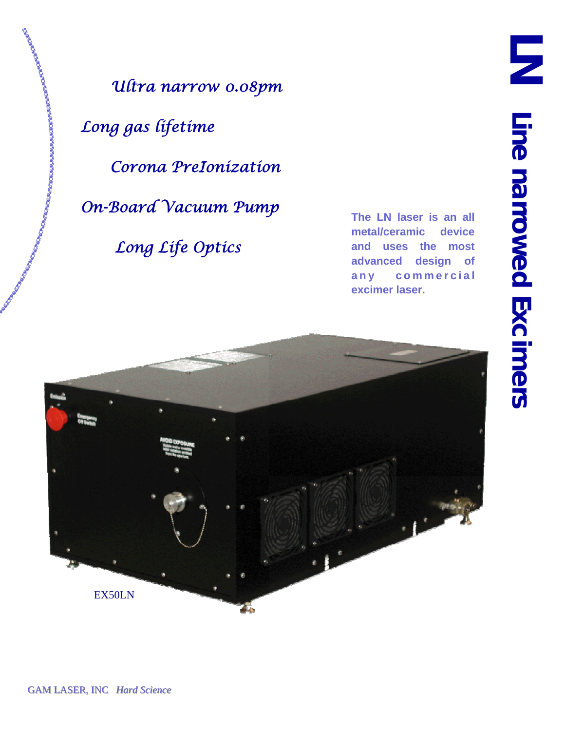*Ultra narrow 0.08pm* 

 *Long gas lifetime* 

**COMPANY AND COMPANY OF COMPANY AND COMPANY** 

 *Corona PreIonization* 

 *On-Board Vacuum Pump* 

 *Long Life Optics* 

**The LN laser is an all metal/ceramic device and uses the most advanced design of a n y c o m m e r c i a l excimer laser.** 

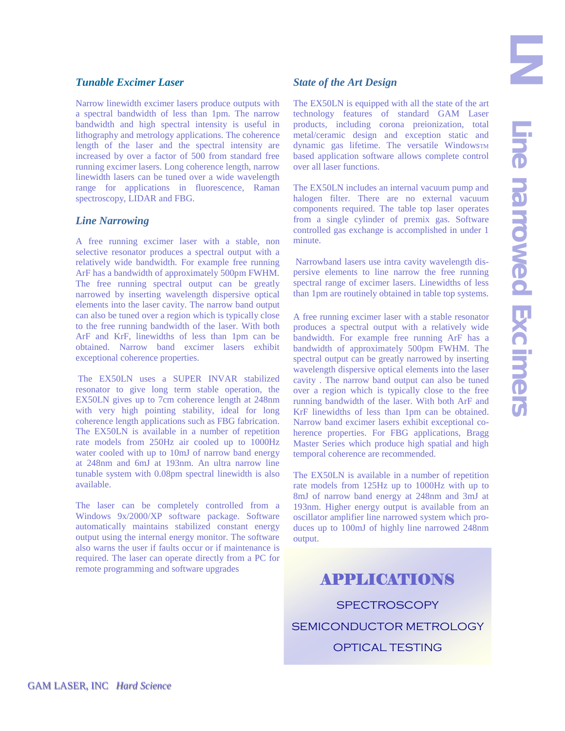## *Tunable Excimer Laser*

Narrow linewidth excimer lasers produce outputs with a spectral bandwidth of less than 1pm. The narrow bandwidth and high spectral intensity is useful in lithography and metrology applications. The coherence length of the laser and the spectral intensity are increased by over a factor of 500 from standard free running excimer lasers. Long coherence length, narrow linewidth lasers can be tuned over a wide wavelength range for applications in fluorescence, Raman spectroscopy, LIDAR and FBG.

#### *Line Narrowing*

A free running excimer laser with a stable, non selective resonator produces a spectral output with a relatively wide bandwidth. For example free running ArF has a bandwidth of approximately 500pm FWHM. The free running spectral output can be greatly narrowed by inserting wavelength dispersive optical elements into the laser cavity. The narrow band output can also be tuned over a region which is typically close to the free running bandwidth of the laser. With both ArF and KrF, linewidths of less than 1pm can be obtained. Narrow band excimer lasers exhibit exceptional coherence properties.

 The EX50LN uses a SUPER INVAR stabilized resonator to give long term stable operation, the EX50LN gives up to 7cm coherence length at 248nm with very high pointing stability, ideal for long coherence length applications such as FBG fabrication. The EX50LN is available in a number of repetition rate models from 250Hz air cooled up to 1000Hz water cooled with up to 10mJ of narrow band energy at 248nm and 6mJ at 193nm. An ultra narrow line tunable system with 0.08pm spectral linewidth is also available.

The laser can be completely controlled from a Windows 9x/2000/XP software package. Software automatically maintains stabilized constant energy output using the internal energy monitor. The software also warns the user if faults occur or if maintenance is required. The laser can operate directly from a PC for remote programming and software upgrades

### *State of the Art Design*

The EX50LN is equipped with all the state of the art technology features of standard GAM Laser products, including corona preionization, total metal/ceramic design and exception static and dynamic gas lifetime. The versatile WindowsTM based application software allows complete control over all laser functions.

The EX50LN includes an internal vacuum pump and halogen filter. There are no external vacuum components required. The table top laser operates from a single cylinder of premix gas. Software controlled gas exchange is accomplished in under 1 minute.

 Narrowband lasers use intra cavity wavelength dispersive elements to line narrow the free running spectral range of excimer lasers. Linewidths of less than 1pm are routinely obtained in table top systems.

A free running excimer laser with a stable resonator produces a spectral output with a relatively wide bandwidth. For example free running ArF has a bandwidth of approximately 500pm FWHM. The spectral output can be greatly narrowed by inserting wavelength dispersive optical elements into the laser cavity . The narrow band output can also be tuned over a region which is typically close to the free running bandwidth of the laser. With both ArF and KrF linewidths of less than 1pm can be obtained. Narrow band excimer lasers exhibit exceptional coherence properties. For FBG applications, Bragg Master Series which produce high spatial and high temporal coherence are recommended.

The EX50LN is available in a number of repetition rate models from 125Hz up to 1000Hz with up to 8mJ of narrow band energy at 248nm and 3mJ at 193nm. Higher energy output is available from an oscillator amplifier line narrowed system which produces up to 100mJ of highly line narrowed 248nm output.

# APPLICATIONS **SPECTROSCOPY**

SEMICONDUCTOR METROLOGY

OPTICAL TESTING